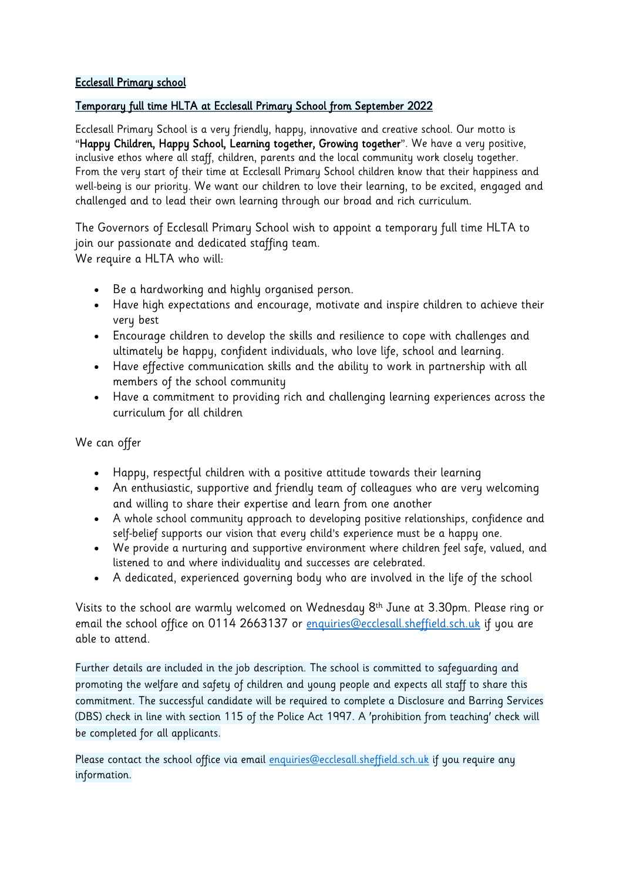## Ecclesall Primary school

## Temporary full time HLTA at Ecclesall Primary School from September 2022

Ecclesall Primary School is a very friendly, happy, innovative and creative school. Our motto is "Happy Children, Happy School, Learning together, Growing together". We have a very positive, inclusive ethos where all staff, children, parents and the local community work closely together. From the very start of their time at Ecclesall Primary School children know that their happiness and well-being is our priority. We want our children to love their learning, to be excited, engaged and challenged and to lead their own learning through our broad and rich curriculum.

The Governors of Ecclesall Primary School wish to appoint a temporary full time HLTA to join our passionate and dedicated staffing team. We require a HLTA who will:

- Be a hardworking and highly organised person.
- Have high expectations and encourage, motivate and inspire children to achieve their very best
- Encourage children to develop the skills and resilience to cope with challenges and ultimately be happy, confident individuals, who love life, school and learning.
- Have effective communication skills and the ability to work in partnership with all members of the school community
- Have a commitment to providing rich and challenging learning experiences across the curriculum for all children

We can offer

- Happy, respectful children with a positive attitude towards their learning
- An enthusiastic, supportive and friendly team of colleagues who are very welcoming and willing to share their expertise and learn from one another
- A whole school community approach to developing positive relationships, confidence and self-belief supports our vision that every child's experience must be a happy one.
- We provide a nurturing and supportive environment where children feel safe, valued, and listened to and where individuality and successes are celebrated.
- A dedicated, experienced governing body who are involved in the life of the school

Visits to the school are warmly welcomed on Wednesday 8th June at 3.30pm. Please ring or email the school office on 0114 2663137 or [enquiries@ecclesall.sheffield.sch.uk](mailto:enquiries@ecclesall.sheffield.sch.uk) if you are able to attend.

Further details are included in the job description. The school is committed to safeguarding and promoting the welfare and safety of children and young people and expects all staff to share this commitment. The successful candidate will be required to complete a Disclosure and Barring Services (DBS) check in line with section 115 of the Police Act 1997. A 'prohibition from teaching' check will be completed for all applicants.

Please contact the school office via email [enquiries@ecclesall.sheffield.sch.uk](mailto:enquiries@ecclesall.sheffield.sch.uk) if you require any information.